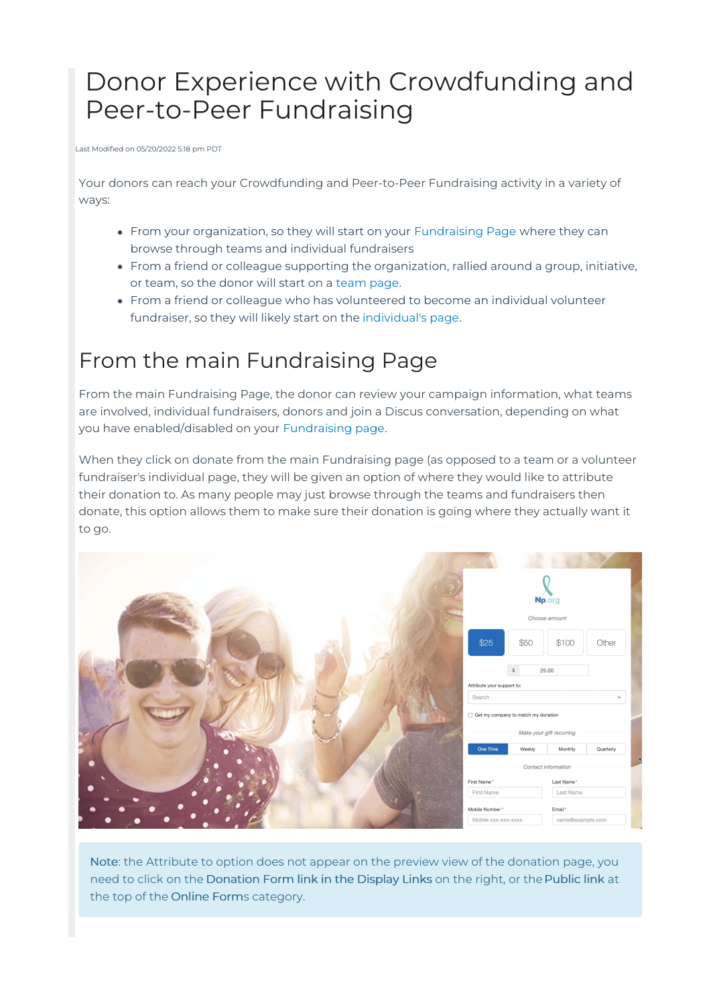# Donor Experience with Crowdfunding and Peer-to-Peer Fundraising

Last Modified on 05/20/2022 5:18 pm PDT

Your donors can reach your Crowdfunding and Peer-to-Peer Fundraising activity in a variety of ways:

- From your organization, so they will start on your [Fundraising](http://support.mobilecause.com/help/fundraising-page-design) Page where they can browse through teams and individual fundraisers
- From a friend or colleague supporting the organization, rallied around a group, initiative, or team, so the donor will start on a [team](http://support.mobilecause.com/help/create-crowdfunding-and-peer-to-peer-teams) page.
- From a friend or colleague who has volunteered to become an individual volunteer fundraiser, so they will likely start on the [individual's](http://support.mobilecause.com/help/fundraiser-signup-walkthrough) page.

## From the main Fundraising Page

From the main Fundraising Page, the donor can review your campaign information, what teams are involved, individual fundraisers, donors and join a Discus conversation, depending on what you have enabled/disabled on your [Fundraising](http://support.mobilecause.com/help/fundraising-page-design) page.

When they click on donate from the main Fundraising page (as opposed to a team or a volunteer fundraiser's individual page, they will be given an option of where they would like to attribute their donation to. As many people may just browse through the teams and fundraisers then donate, this option allows them to make sure their donation is going where they actually want it to go.

|                                     |              | Np.org                   |              |
|-------------------------------------|--------------|--------------------------|--------------|
| Choose amount                       |              |                          |              |
| \$25                                | \$50         | \$100                    | Other        |
| Attribute your support to:          | $\mathbb{S}$ | 25.00                    |              |
| Search                              |              |                          | $\checkmark$ |
| Get my company to match my donation |              |                          |              |
|                                     |              | Make your gift recurring |              |
| One Time                            | Weekly       | Monthly                  | Quarterly    |
|                                     |              | Contact information      | $\mathbf{R}$ |
| First Name*                         |              | Last Name*               |              |
| First Name                          |              | Last Name                |              |
| Mobile Number*                      |              | Email*                   |              |
| Mobile xxx-xxx-xxxx                 |              | name@example.com         |              |

Note: the Attribute to option does not appear on the preview view of the donation page, you need to click on the Donation Form link in the Display Links on the right, or the Public link at the top of the Online Forms category.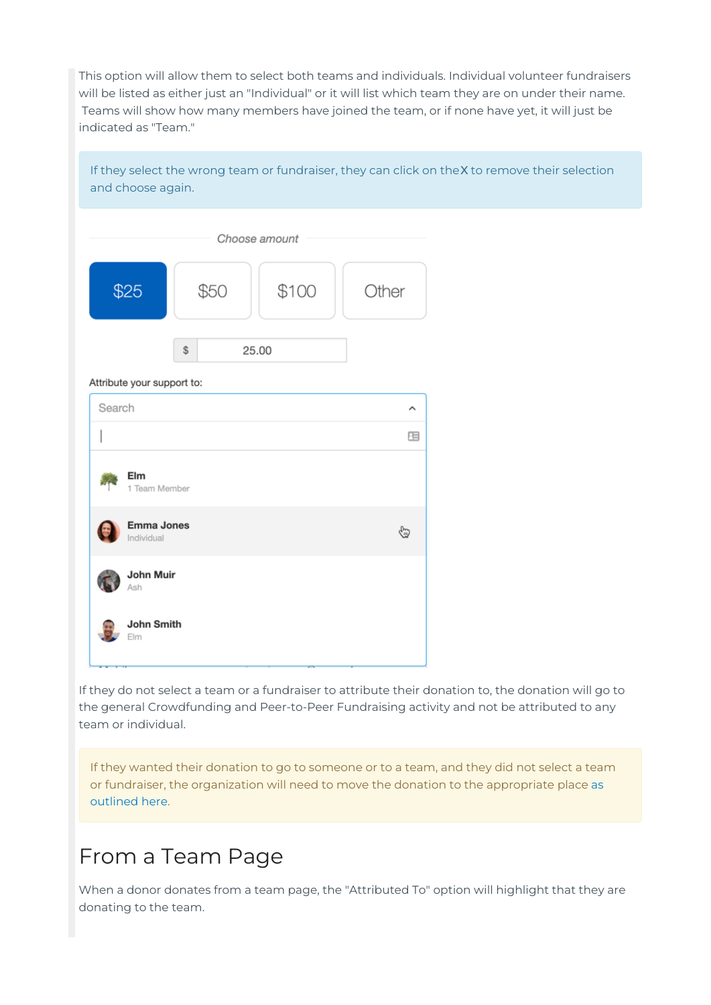This option will allow them to select both teams and individuals. Individual volunteer fundraisers will be listed as either just an "Individual" or it will list which team they are on under their name. Teams will show how many members have joined the team, or if none have yet, it will just be indicated as "Team."

If they select the wrong team or fundraiser, they can click on the X to remove their selection and choose again.

| Choose amount                   |      |       |       |  |  |
|---------------------------------|------|-------|-------|--|--|
| \$25                            | \$50 | \$100 | Other |  |  |
| Attribute your support to:      | \$   | 25.00 |       |  |  |
| Search                          |      |       | ㅅ     |  |  |
|                                 |      |       | 胆     |  |  |
| Elm<br>1 Team Member            |      |       |       |  |  |
| <b>Emma Jones</b><br>Individual |      |       | ⊕     |  |  |
| John Muir<br>Ash                |      |       |       |  |  |
| <b>John Smith</b><br>Elm        |      |       |       |  |  |

If they do not select a team or a fundraiser to attribute their donation to, the donation will go to the general Crowdfunding and Peer-to-Peer Fundraising activity and not be attributed to any team or individual.

If they wanted their donation to go to someone or to a team, and they did not select a team or fundraiser, the [organization](http://support.mobilecause.com/help/manage-or-move-pledges-and-donations) will need to move the donation to the appropriate place as outlined here.

#### From a Team Page

When a donor donates from a team page, the "Attributed To" option will highlight that they are donating to the team.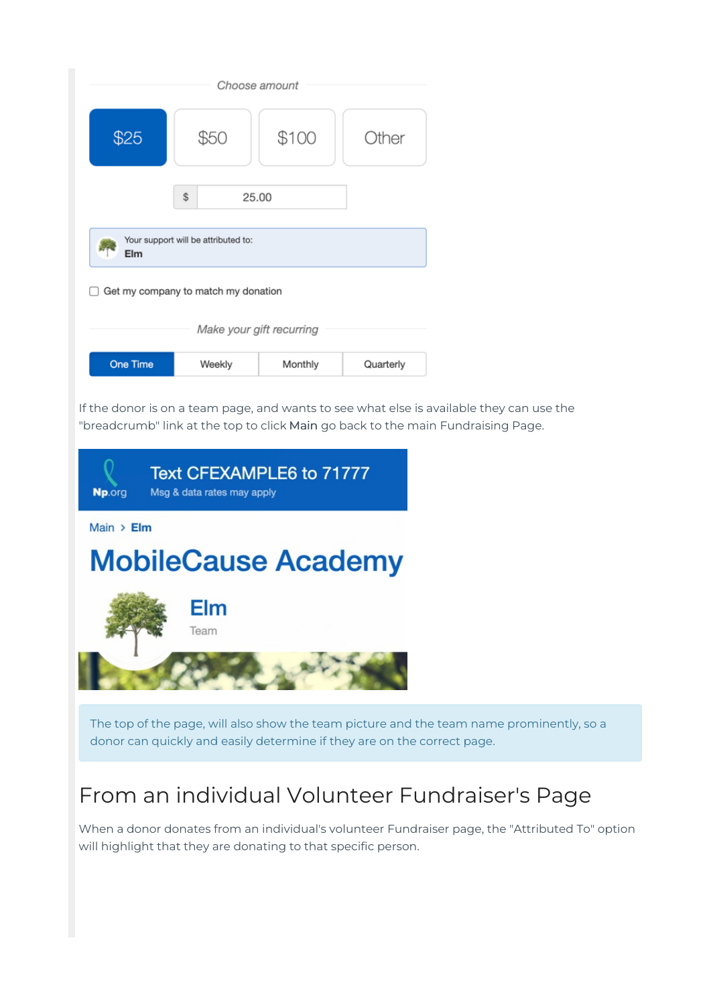| Choose amount                              |             |         |           |  |  |
|--------------------------------------------|-------------|---------|-----------|--|--|
| \$25                                       | S50         | \$100   | Other     |  |  |
|                                            | \$<br>25.00 |         |           |  |  |
| Your support will be attributed to:<br>Elm |             |         |           |  |  |
| Get my company to match my donation        |             |         |           |  |  |
| Make your gift recurring                   |             |         |           |  |  |
| <b>One Time</b>                            | Weekly      | Monthly | Quarterly |  |  |

If the donor is on a team page, and wants to see what else is available they can use the "breadcrumb" link at the top to click Main go back to the main Fundraising Page.



The top of the page, will also show the team picture and the team name prominently, so a donor can quickly and easily determine if they are on the correct page.

### From an individual Volunteer Fundraiser's Page

When a donor donates from an individual's volunteer Fundraiser page, the "Attributed To" option will highlight that they are donating to that specific person.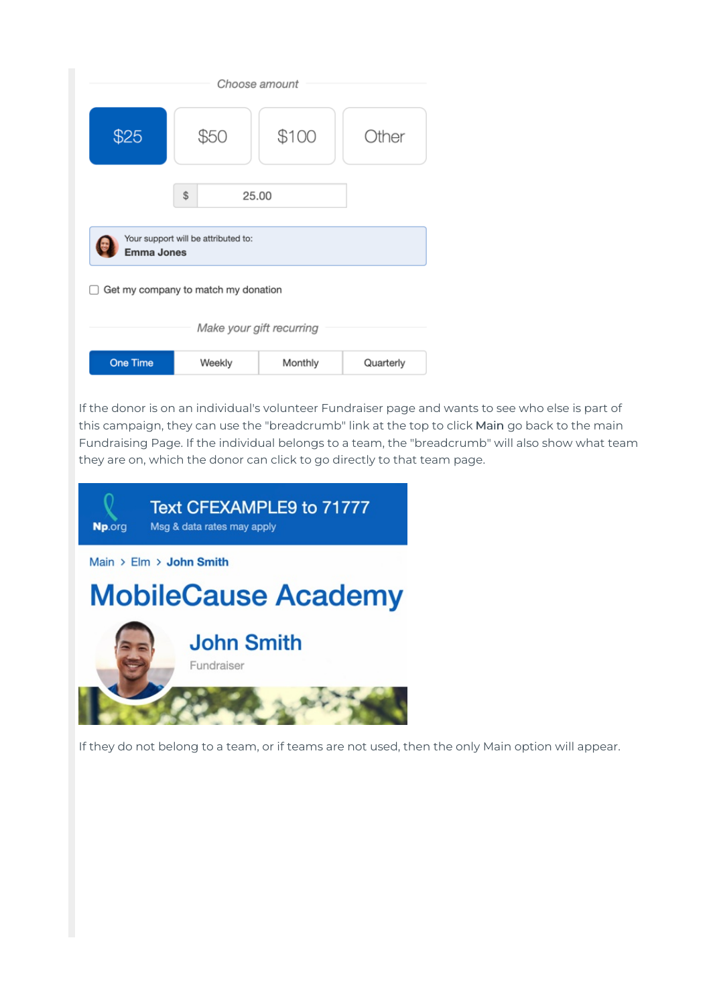| Choose amount                                            |             |         |              |  |  |
|----------------------------------------------------------|-------------|---------|--------------|--|--|
| \$25                                                     | \$50        | \$100   | <b>Other</b> |  |  |
|                                                          | \$<br>25.00 |         |              |  |  |
| Your support will be attributed to:<br><b>Emma Jones</b> |             |         |              |  |  |
| Get my company to match my donation                      |             |         |              |  |  |
| Make your gift recurring                                 |             |         |              |  |  |
| <b>One Time</b>                                          | Weekly      | Monthly | Quarterly    |  |  |

If the donor is on an individual's volunteer Fundraiser page and wants to see who else is part of this campaign, they can use the "breadcrumb" link at the top to click Main go back to the main Fundraising Page. If the individual belongs to a team, the "breadcrumb" will also show what team they are on, which the donor can click to go directly to that team page.



If they do not belong to a team, or if teams are not used, then the only Main option will appear.